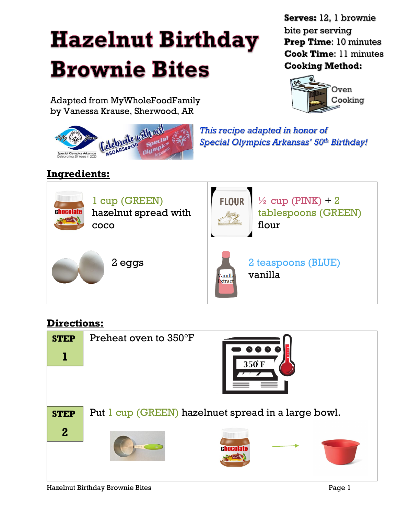## **Hazelnut Birthday Brownie Bites**

Adapted from MyWholeFoodFamily by Vanessa Krause, Sherwood, AR

**Serves:** 12, 1 brownie bite per serving **Prep Time**: 10 minutes **Cook Time**: 11 minutes **Cooking Method:**



nate with with

*This recipe adapted in honor of Special Olympics Arkansas' 50th Birthday!*

## **Ingredients:**



## **Directions:**

| <b>STEP</b>  | Preheat oven to $350^{\circ}$ F<br>$\bullet \bullet \bullet \bullet$ |  |  |  |  |
|--------------|----------------------------------------------------------------------|--|--|--|--|
|              | 350°F                                                                |  |  |  |  |
|              |                                                                      |  |  |  |  |
|              |                                                                      |  |  |  |  |
| <b>STEP</b>  | Put 1 cup (GREEN) hazelnuet spread in a large bowl.                  |  |  |  |  |
| $\mathbf{2}$ |                                                                      |  |  |  |  |
|              |                                                                      |  |  |  |  |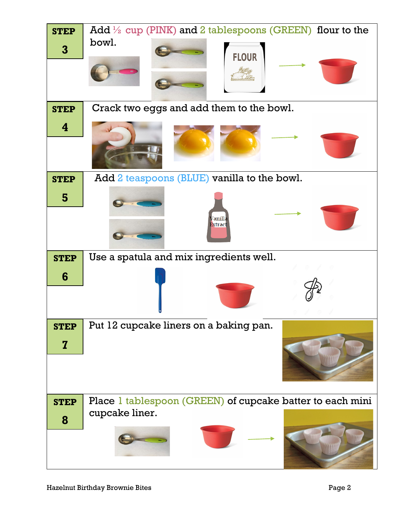